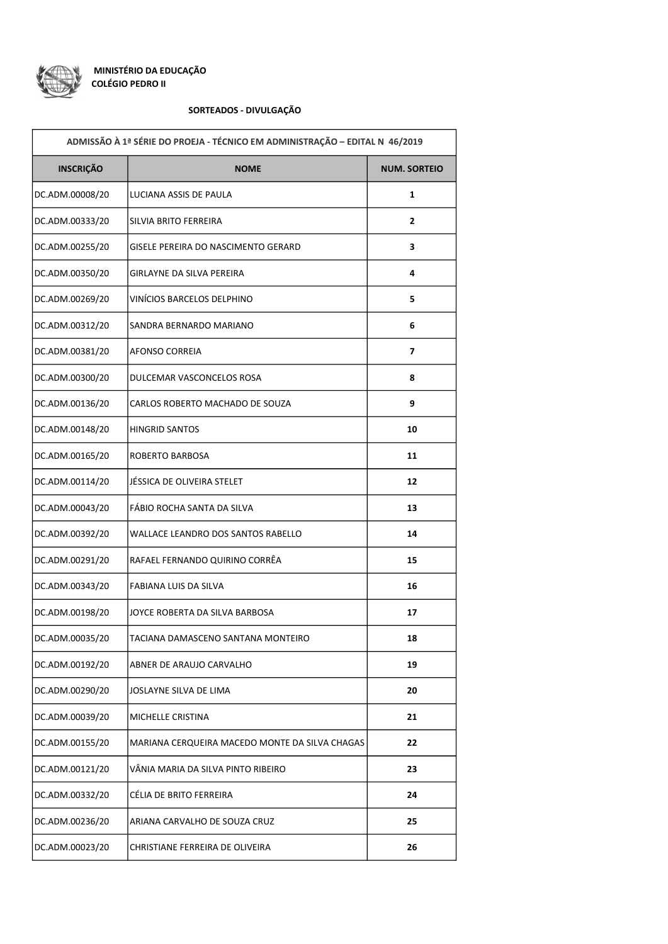

## SORTEADOS - DIVULGAÇÃO

| ADMISSÃO À 1ª SÉRIE DO PROEJA - TÉCNICO EM ADMINISTRAÇÃO - EDITAL N 46/2019 |                                                |                     |  |  |
|-----------------------------------------------------------------------------|------------------------------------------------|---------------------|--|--|
| <b>INSCRIÇÃO</b>                                                            | <b>NOME</b>                                    | <b>NUM. SORTEIO</b> |  |  |
| DC.ADM.00008/20                                                             | LUCIANA ASSIS DE PAULA                         | 1                   |  |  |
| DC.ADM.00333/20                                                             | SILVIA BRITO FERREIRA                          | $\mathbf{2}$        |  |  |
| DC.ADM.00255/20                                                             | GISELE PEREIRA DO NASCIMENTO GERARD            | 3                   |  |  |
| DC.ADM.00350/20                                                             | GIRLAYNE DA SILVA PEREIRA                      | 4                   |  |  |
| DC.ADM.00269/20                                                             | VINÍCIOS BARCELOS DELPHINO                     | 5                   |  |  |
| DC.ADM.00312/20                                                             | SANDRA BERNARDO MARIANO                        | 6                   |  |  |
| DC.ADM.00381/20                                                             | AFONSO CORREIA                                 | 7                   |  |  |
| DC.ADM.00300/20                                                             | DULCEMAR VASCONCELOS ROSA                      | 8                   |  |  |
| DC.ADM.00136/20                                                             | CARLOS ROBERTO MACHADO DE SOUZA                | 9                   |  |  |
| DC.ADM.00148/20                                                             | <b>HINGRID SANTOS</b>                          | 10                  |  |  |
| DC.ADM.00165/20                                                             | ROBERTO BARBOSA                                | 11                  |  |  |
| DC.ADM.00114/20                                                             | JÉSSICA DE OLIVEIRA STELET                     | 12                  |  |  |
| DC.ADM.00043/20                                                             | FÁBIO ROCHA SANTA DA SILVA                     | 13                  |  |  |
| DC.ADM.00392/20                                                             | WALLACE LEANDRO DOS SANTOS RABELLO             | 14                  |  |  |
| DC.ADM.00291/20                                                             | RAFAEL FERNANDO QUIRINO CORRÊA                 | 15                  |  |  |
| DC.ADM.00343/20                                                             | FABIANA LUIS DA SILVA                          | 16                  |  |  |
| DC.ADM.00198/20                                                             | JOYCE ROBERTA DA SILVA BARBOSA                 | 17                  |  |  |
| DC.ADM.00035/20                                                             | TACIANA DAMASCENO SANTANA MONTEIRO             | 18                  |  |  |
| DC.ADM.00192/20                                                             | ABNER DE ARAUJO CARVALHO                       | 19                  |  |  |
| DC.ADM.00290/20                                                             | JOSLAYNE SILVA DE LIMA                         | 20                  |  |  |
| DC.ADM.00039/20                                                             | MICHELLE CRISTINA                              | 21                  |  |  |
| DC.ADM.00155/20                                                             | MARIANA CERQUEIRA MACEDO MONTE DA SILVA CHAGAS | 22                  |  |  |
| DC.ADM.00121/20                                                             | VÂNIA MARIA DA SILVA PINTO RIBEIRO             | 23                  |  |  |
| DC.ADM.00332/20                                                             | CÉLIA DE BRITO FERREIRA                        | 24                  |  |  |
| DC.ADM.00236/20                                                             | ARIANA CARVALHO DE SOUZA CRUZ                  | 25                  |  |  |
| DC.ADM.00023/20                                                             | CHRISTIANE FERREIRA DE OLIVEIRA                | 26                  |  |  |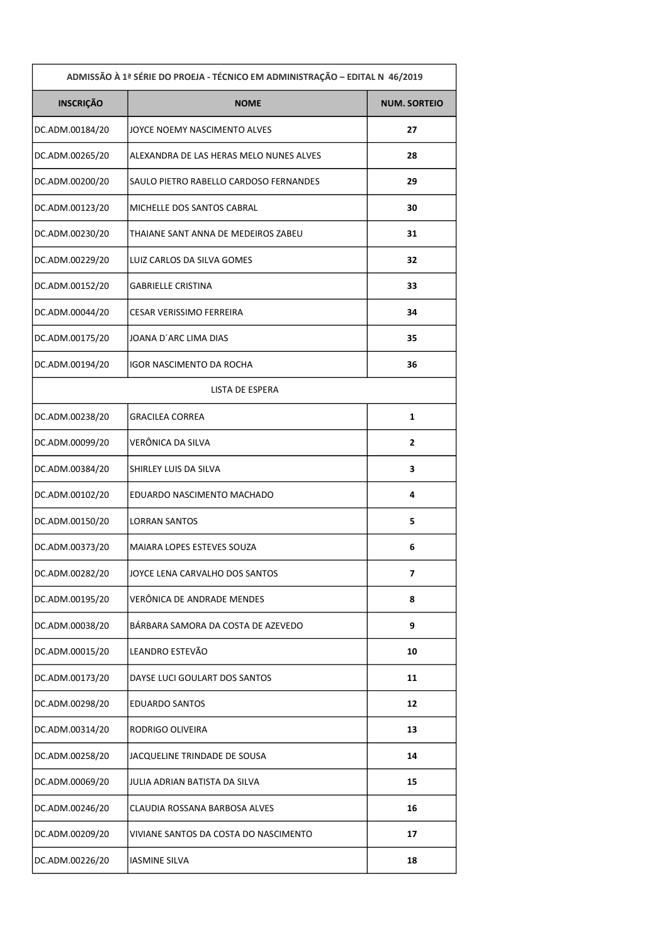| ADMISSÃO À 1ª SÉRIE DO PROEJA - TÉCNICO EM ADMINISTRAÇÃO - EDITAL N 46/2019 |                                         |                     |  |  |
|-----------------------------------------------------------------------------|-----------------------------------------|---------------------|--|--|
| <b>INSCRIÇÃO</b>                                                            | <b>NOME</b>                             | <b>NUM. SORTEIO</b> |  |  |
| DC.ADM.00184/20                                                             | JOYCE NOEMY NASCIMENTO ALVES            | 27                  |  |  |
| DC.ADM.00265/20                                                             | ALEXANDRA DE LAS HERAS MELO NUNES ALVES | 28                  |  |  |
| DC.ADM.00200/20                                                             | SAULO PIETRO RABELLO CARDOSO FERNANDES  | 29                  |  |  |
| DC.ADM.00123/20                                                             | MICHELLE DOS SANTOS CABRAL              | 30                  |  |  |
| DC.ADM.00230/20                                                             | THAIANE SANT ANNA DE MEDEIROS ZABEU     | 31                  |  |  |
| DC.ADM.00229/20                                                             | LUIZ CARLOS DA SILVA GOMES              | 32                  |  |  |
| DC.ADM.00152/20                                                             | <b>GABRIELLE CRISTINA</b>               | 33                  |  |  |
| DC.ADM.00044/20                                                             | CESAR VERISSIMO FERREIRA                | 34                  |  |  |
| DC.ADM.00175/20                                                             | JOANA D'ARC LIMA DIAS                   | 35                  |  |  |
| DC.ADM.00194/20                                                             | IGOR NASCIMENTO DA ROCHA                | 36                  |  |  |
|                                                                             | <b>LISTA DE ESPERA</b>                  |                     |  |  |
| DC.ADM.00238/20                                                             | <b>GRACILEA CORREA</b>                  | 1                   |  |  |
| DC.ADM.00099/20                                                             | VERÔNICA DA SILVA                       | $\mathbf{2}$        |  |  |
| DC.ADM.00384/20                                                             | SHIRLEY LUIS DA SILVA                   | 3                   |  |  |
| DC.ADM.00102/20                                                             | EDUARDO NASCIMENTO MACHADO              | 4                   |  |  |
| DC.ADM.00150/20                                                             | <b>LORRAN SANTOS</b>                    | 5                   |  |  |
| DC.ADM.00373/20                                                             | MAIARA LOPES ESTEVES SOUZA              | 6                   |  |  |
| DC.ADM.00282/20                                                             | JOYCE LENA CARVALHO DOS SANTOS          | 7                   |  |  |
| DC.ADM.00195/20                                                             | VERÔNICA DE ANDRADE MENDES              | 8                   |  |  |
| DC.ADM.00038/20                                                             | BÁRBARA SAMORA DA COSTA DE AZEVEDO      | 9                   |  |  |
| DC.ADM.00015/20                                                             | LEANDRO ESTEVÃO                         | 10                  |  |  |
| DC.ADM.00173/20                                                             | DAYSE LUCI GOULART DOS SANTOS           | 11                  |  |  |
| DC.ADM.00298/20                                                             | <b>EDUARDO SANTOS</b>                   | 12                  |  |  |
| DC.ADM.00314/20                                                             | RODRIGO OLIVEIRA                        | 13                  |  |  |
| DC.ADM.00258/20                                                             | JACQUELINE TRINDADE DE SOUSA            | 14                  |  |  |
| DC.ADM.00069/20                                                             | JULIA ADRIAN BATISTA DA SILVA           | 15                  |  |  |
| DC.ADM.00246/20                                                             | CLAUDIA ROSSANA BARBOSA ALVES           | 16                  |  |  |
| DC.ADM.00209/20                                                             | VIVIANE SANTOS DA COSTA DO NASCIMENTO   | 17                  |  |  |
| DC.ADM.00226/20                                                             | <b>IASMINE SILVA</b>                    | 18                  |  |  |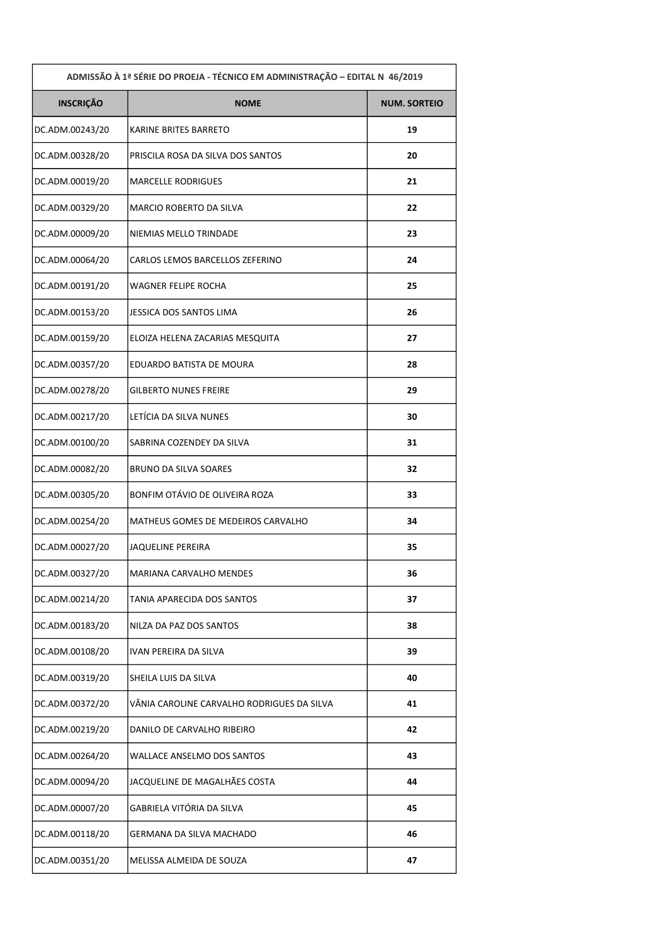| ADMISSÃO À 1ª SÉRIE DO PROEJA - TÉCNICO EM ADMINISTRAÇÃO - EDITAL N 46/2019 |                                            |                     |  |  |
|-----------------------------------------------------------------------------|--------------------------------------------|---------------------|--|--|
| <b>INSCRIÇÃO</b>                                                            | <b>NOME</b>                                | <b>NUM. SORTEIO</b> |  |  |
| DC.ADM.00243/20                                                             | KARINE BRITES BARRETO                      | 19                  |  |  |
| DC.ADM.00328/20                                                             | PRISCILA ROSA DA SILVA DOS SANTOS          | 20                  |  |  |
| DC.ADM.00019/20                                                             | <b>MARCELLE RODRIGUES</b>                  | 21                  |  |  |
| DC.ADM.00329/20                                                             | MARCIO ROBERTO DA SILVA                    | 22                  |  |  |
| DC.ADM.00009/20                                                             | NIEMIAS MELLO TRINDADE                     | 23                  |  |  |
| DC.ADM.00064/20                                                             | CARLOS LEMOS BARCELLOS ZEFERINO            | 24                  |  |  |
| DC.ADM.00191/20                                                             | WAGNER FELIPE ROCHA                        | 25                  |  |  |
| DC.ADM.00153/20                                                             | JESSICA DOS SANTOS LIMA                    | 26                  |  |  |
| DC.ADM.00159/20                                                             | ELOIZA HELENA ZACARIAS MESQUITA            | 27                  |  |  |
| DC.ADM.00357/20                                                             | EDUARDO BATISTA DE MOURA                   | 28                  |  |  |
| DC.ADM.00278/20                                                             | GILBERTO NUNES FREIRE                      | 29                  |  |  |
| DC.ADM.00217/20                                                             | LETÍCIA DA SILVA NUNES                     | 30                  |  |  |
| DC.ADM.00100/20                                                             | SABRINA COZENDEY DA SILVA                  | 31                  |  |  |
| DC.ADM.00082/20                                                             | <b>BRUNO DA SILVA SOARES</b>               | 32                  |  |  |
| DC.ADM.00305/20                                                             | BONFIM OTÁVIO DE OLIVEIRA ROZA             | 33                  |  |  |
| DC.ADM.00254/20                                                             | MATHEUS GOMES DE MEDEIROS CARVALHO         | 34                  |  |  |
| DC.ADM.00027/20                                                             | JAQUELINE PEREIRA                          | 35                  |  |  |
| DC.ADM.00327/20                                                             | MARIANA CARVALHO MENDES                    | 36                  |  |  |
| DC.ADM.00214/20                                                             | TANIA APARECIDA DOS SANTOS                 | 37                  |  |  |
| DC.ADM.00183/20                                                             | NILZA DA PAZ DOS SANTOS                    | 38                  |  |  |
| DC.ADM.00108/20                                                             | IVAN PEREIRA DA SILVA                      | 39                  |  |  |
| DC.ADM.00319/20                                                             | SHEILA LUIS DA SILVA                       | 40                  |  |  |
| DC.ADM.00372/20                                                             | VÂNIA CAROLINE CARVALHO RODRIGUES DA SILVA | 41                  |  |  |
| DC.ADM.00219/20                                                             | DANILO DE CARVALHO RIBEIRO                 | 42                  |  |  |
| DC.ADM.00264/20                                                             | WALLACE ANSELMO DOS SANTOS                 | 43                  |  |  |
| DC.ADM.00094/20                                                             | JACQUELINE DE MAGALHÃES COSTA              | 44                  |  |  |
| DC.ADM.00007/20                                                             | GABRIELA VITÓRIA DA SILVA                  | 45                  |  |  |
| DC.ADM.00118/20                                                             | GERMANA DA SILVA MACHADO                   | 46                  |  |  |
| DC.ADM.00351/20                                                             | MELISSA ALMEIDA DE SOUZA                   | 47                  |  |  |